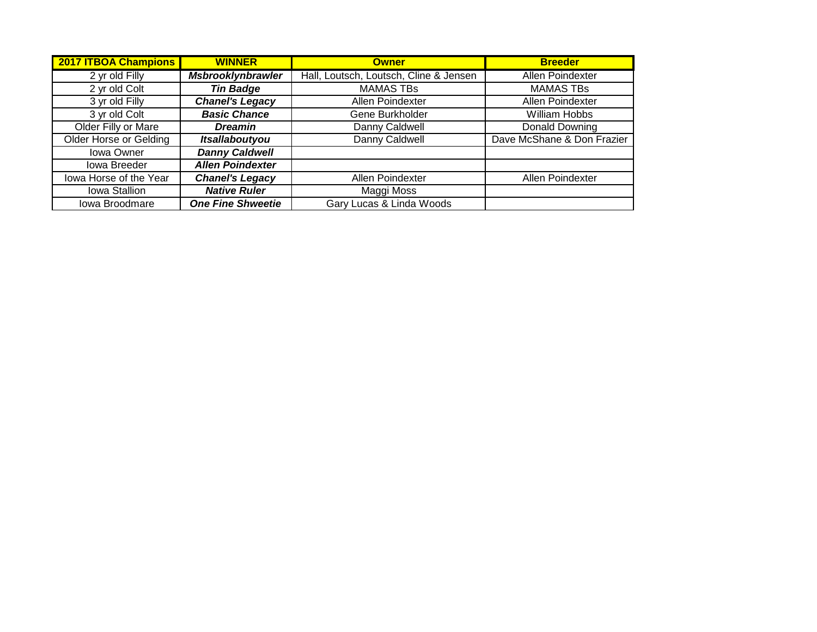| <b>2017 ITBOA Champions</b> | <b>WINNER</b>            | <b>Owner</b>                           | <b>Breeder</b>             |
|-----------------------------|--------------------------|----------------------------------------|----------------------------|
| 2 yr old Filly              | <b>Msbrooklynbrawler</b> | Hall, Loutsch, Loutsch, Cline & Jensen | <b>Allen Poindexter</b>    |
| 2 yr old Colt               | <b>Tin Badge</b>         | <b>MAMAS TBs</b>                       | <b>MAMAS TBs</b>           |
| 3 yr old Filly              | <b>Chanel's Legacy</b>   | Allen Poindexter                       | Allen Poindexter           |
| 3 yr old Colt               | <b>Basic Chance</b>      | Gene Burkholder                        | William Hobbs              |
| Older Filly or Mare         | <b>Dreamin</b>           | Danny Caldwell                         | Donald Downing             |
| Older Horse or Gelding      | Itsallaboutyou           | Danny Caldwell                         | Dave McShane & Don Frazier |
| Iowa Owner                  | <b>Danny Caldwell</b>    |                                        |                            |
| Iowa Breeder                | <b>Allen Poindexter</b>  |                                        |                            |
| lowa Horse of the Year      | <b>Chanel's Legacy</b>   | Allen Poindexter                       | Allen Poindexter           |
| Iowa Stallion               | <b>Native Ruler</b>      | Maggi Moss                             |                            |
| Iowa Broodmare              | <b>One Fine Shweetie</b> | Gary Lucas & Linda Woods               |                            |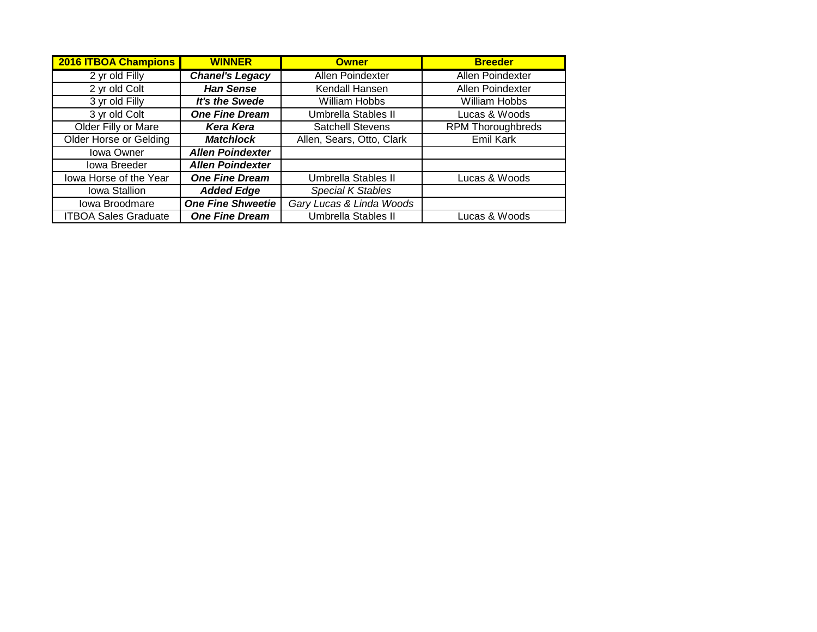| <b>2016 ITBOA Champions</b>   | <b>WINNER</b>            | <b>Owner</b>              | <b>Breeder</b>           |
|-------------------------------|--------------------------|---------------------------|--------------------------|
| 2 yr old Filly                | <b>Chanel's Legacy</b>   | Allen Poindexter          | Allen Poindexter         |
| 2 yr old Colt                 | <b>Han Sense</b>         | Kendall Hansen            | Allen Poindexter         |
| 3 yr old Filly                | It's the Swede           | William Hobbs             | William Hobbs            |
| 3 yr old Colt                 | <b>One Fine Dream</b>    | Umbrella Stables II       | Lucas & Woods            |
| Older Filly or Mare           | <b>Kera Kera</b>         | <b>Satchell Stevens</b>   | <b>RPM Thoroughbreds</b> |
| <b>Older Horse or Gelding</b> | <b>Matchlock</b>         | Allen, Sears, Otto, Clark | Emil Kark                |
| <b>Iowa Owner</b>             | <b>Allen Poindexter</b>  |                           |                          |
| Iowa Breeder                  | <b>Allen Poindexter</b>  |                           |                          |
| lowa Horse of the Year        | <b>One Fine Dream</b>    | Umbrella Stables II       | Lucas & Woods            |
| Iowa Stallion                 | <b>Added Edge</b>        | Special K Stables         |                          |
| Iowa Broodmare                | <b>One Fine Shweetie</b> | Gary Lucas & Linda Woods  |                          |
| <b>ITBOA Sales Graduate</b>   | <b>One Fine Dream</b>    | Umbrella Stables II       | Lucas & Woods            |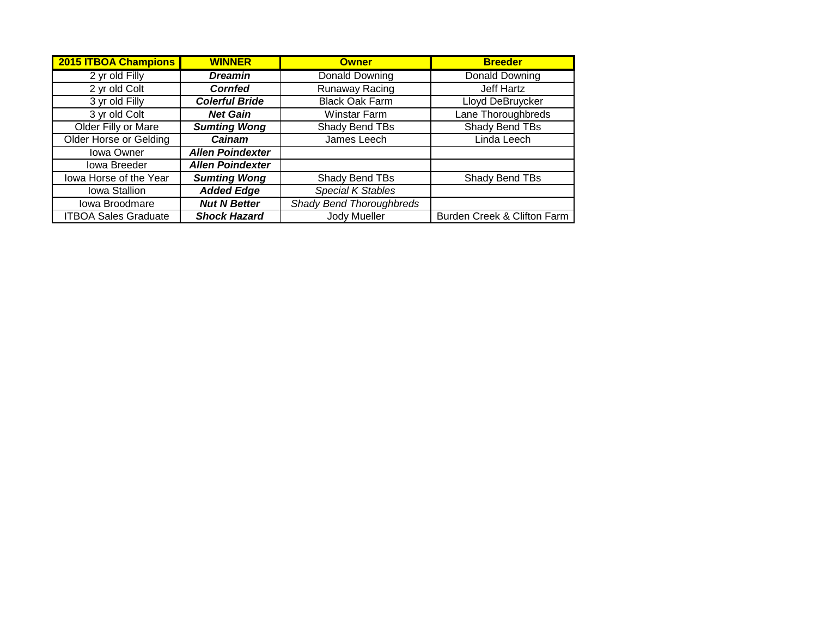| <b>2015 ITBOA Champions</b>   | <b>WINNER</b>           | <b>Owner</b>             | <b>Breeder</b>              |
|-------------------------------|-------------------------|--------------------------|-----------------------------|
| 2 yr old Filly                | <b>Dreamin</b>          | <b>Donald Downing</b>    | Donald Downing              |
| 2 yr old Colt                 | <b>Cornfed</b>          | Runaway Racing           | Jeff Hartz                  |
| 3 yr old Filly                | <b>Colerful Bride</b>   | <b>Black Oak Farm</b>    | Lloyd DeBruycker            |
| 3 yr old Colt                 | <b>Net Gain</b>         | Winstar Farm             | Lane Thoroughbreds          |
| Older Filly or Mare           | <b>Sumting Wong</b>     | Shady Bend TBs           | Shady Bend TBs              |
| <b>Older Horse or Gelding</b> | Cainam                  | James Leech              | Linda Leech                 |
| <b>Iowa Owner</b>             | <b>Allen Poindexter</b> |                          |                             |
| Iowa Breeder                  | <b>Allen Poindexter</b> |                          |                             |
| lowa Horse of the Year        | <b>Sumting Wong</b>     | Shady Bend TBs           | Shady Bend TBs              |
| Iowa Stallion                 | <b>Added Edge</b>       | <b>Special K Stables</b> |                             |
| Iowa Broodmare                | <b>Nut N Better</b>     | Shady Bend Thoroughbreds |                             |
| <b>ITBOA Sales Graduate</b>   | <b>Shock Hazard</b>     | Jody Mueller             | Burden Creek & Clifton Farm |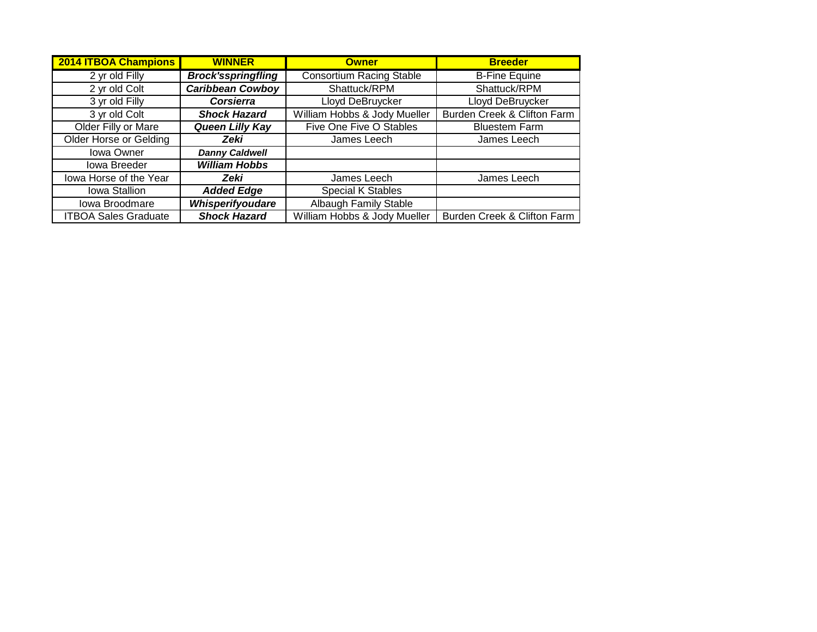| <b>2014 ITBOA Champions</b>   | <b>WINNER</b>             | <b>Owner</b>                    | <b>Breeder</b>                         |
|-------------------------------|---------------------------|---------------------------------|----------------------------------------|
| 2 yr old Filly                | <b>Brock'sspringfling</b> | <b>Consortium Racing Stable</b> | <b>B-Fine Equine</b>                   |
| 2 yr old Colt                 | <b>Caribbean Cowboy</b>   | Shattuck/RPM                    | Shattuck/RPM                           |
| 3 yr old Filly                | <b>Corsierra</b>          | Lloyd DeBruycker                | Lloyd DeBruycker                       |
| 3 yr old Colt                 | <b>Shock Hazard</b>       | William Hobbs & Jody Mueller    | <b>Burden Creek &amp; Clifton Farm</b> |
| Older Filly or Mare           | Queen Lilly Kay           | Five One Five O Stables         | <b>Bluestem Farm</b>                   |
| <b>Older Horse or Gelding</b> | Zeki                      | James Leech                     | James Leech                            |
| Iowa Owner                    | <b>Danny Caldwell</b>     |                                 |                                        |
| Iowa Breeder                  | <b>William Hobbs</b>      |                                 |                                        |
| lowa Horse of the Year        | Zeki                      | James Leech                     | James Leech                            |
| Iowa Stallion                 | <b>Added Edge</b>         | Special K Stables               |                                        |
| Iowa Broodmare                | Whisperifyoudare          | Albaugh Family Stable           |                                        |
| <b>ITBOA Sales Graduate</b>   | <b>Shock Hazard</b>       | William Hobbs & Jody Mueller    | Burden Creek & Clifton Farm            |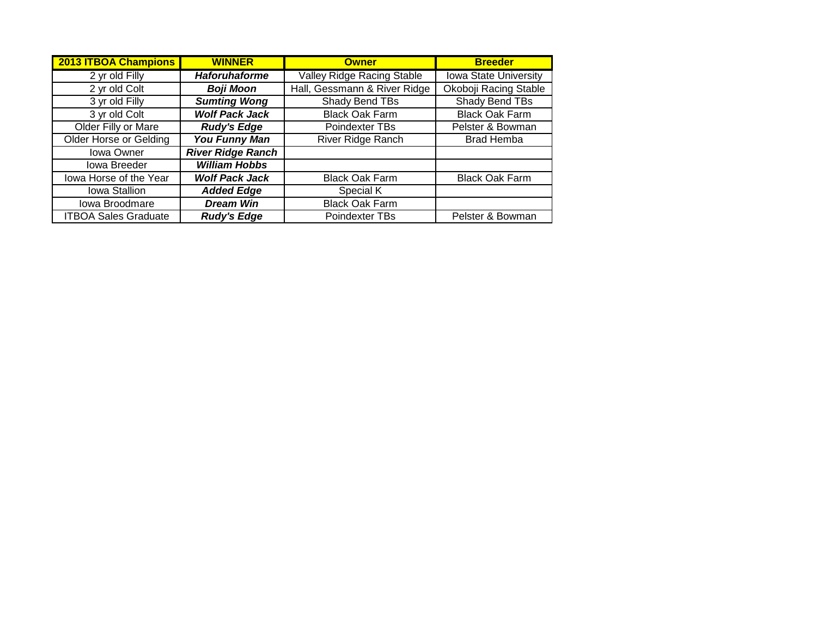| <b>2013 ITBOA Champions</b> | <b>WINNER</b>            | <b>Owner</b>                      | <b>Breeder</b>               |
|-----------------------------|--------------------------|-----------------------------------|------------------------------|
| 2 yr old Filly              | <b>Haforuhaforme</b>     | <b>Valley Ridge Racing Stable</b> | <b>Iowa State University</b> |
| 2 yr old Colt               | <b>Boji Moon</b>         | Hall, Gessmann & River Ridge      | Okoboji Racing Stable        |
| 3 yr old Filly              | <b>Sumting Wong</b>      | Shady Bend TBs                    | Shady Bend TBs               |
| 3 yr old Colt               | <b>Wolf Pack Jack</b>    | <b>Black Oak Farm</b>             | <b>Black Oak Farm</b>        |
| Older Filly or Mare         | <b>Rudy's Edge</b>       | Poindexter TBs                    | Pelster & Bowman             |
| Older Horse or Gelding      | <b>You Funny Man</b>     | River Ridge Ranch                 | <b>Brad Hemba</b>            |
| Iowa Owner                  | <b>River Ridge Ranch</b> |                                   |                              |
| <b>Iowa Breeder</b>         | <b>William Hobbs</b>     |                                   |                              |
| lowa Horse of the Year      | <b>Wolf Pack Jack</b>    | <b>Black Oak Farm</b>             | <b>Black Oak Farm</b>        |
| Iowa Stallion               | <b>Added Edge</b>        | Special K                         |                              |
| Iowa Broodmare              | <b>Dream Win</b>         | <b>Black Oak Farm</b>             |                              |
| <b>ITBOA Sales Graduate</b> | <b>Rudy's Edge</b>       | Poindexter TBs                    | Pelster & Bowman             |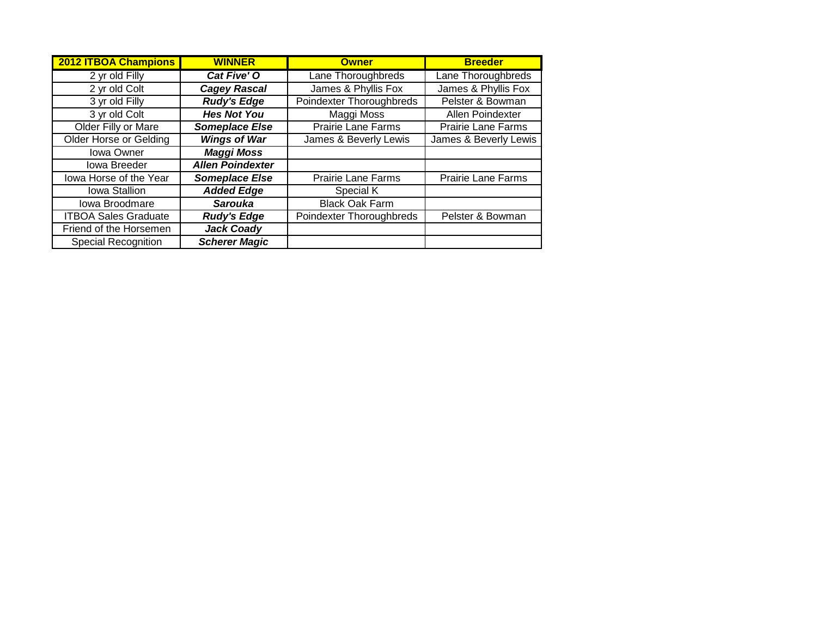| 2012 ITBOA Champions          | <b>WINNER</b>           | <b>Owner</b>              | <b>Breeder</b>            |
|-------------------------------|-------------------------|---------------------------|---------------------------|
| 2 yr old Filly                | Cat Five' O             | Lane Thoroughbreds        | Lane Thoroughbreds        |
| 2 yr old Colt                 | <b>Cagey Rascal</b>     | James & Phyllis Fox       | James & Phyllis Fox       |
| 3 yr old Filly                | <b>Rudy's Edge</b>      | Poindexter Thoroughbreds  | Pelster & Bowman          |
| 3 yr old Colt                 | <b>Hes Not You</b>      | Maggi Moss                | Allen Poindexter          |
| Older Filly or Mare           | <b>Someplace Else</b>   | <b>Prairie Lane Farms</b> | <b>Prairie Lane Farms</b> |
| <b>Older Horse or Gelding</b> | <b>Wings of War</b>     | James & Beverly Lewis     | James & Beverly Lewis     |
| <b>Iowa Owner</b>             | <b>Maggi Moss</b>       |                           |                           |
| <b>Iowa Breeder</b>           | <b>Allen Poindexter</b> |                           |                           |
| lowa Horse of the Year        | <b>Someplace Else</b>   | <b>Prairie Lane Farms</b> | <b>Prairie Lane Farms</b> |
| Iowa Stallion                 | <b>Added Edge</b>       | Special K                 |                           |
| Iowa Broodmare                | <b>Sarouka</b>          | <b>Black Oak Farm</b>     |                           |
| <b>ITBOA Sales Graduate</b>   | <b>Rudy's Edge</b>      | Poindexter Thoroughbreds  | Pelster & Bowman          |
| Friend of the Horsemen        | <b>Jack Coady</b>       |                           |                           |
| <b>Special Recognition</b>    | <b>Scherer Magic</b>    |                           |                           |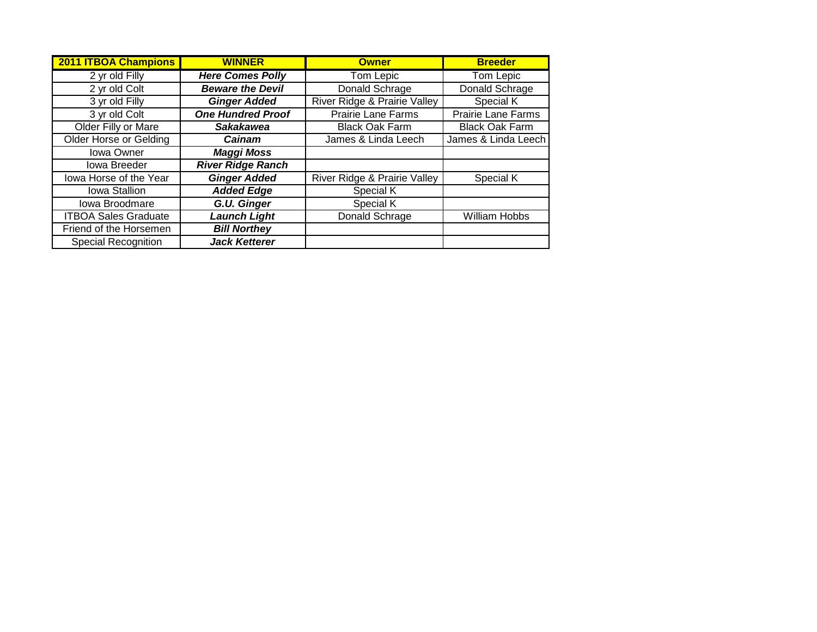| <b>2011 ITBOA Champions</b>   | <b>WINNER</b>            | <b>Owner</b>                            | <b>Breeder</b>            |
|-------------------------------|--------------------------|-----------------------------------------|---------------------------|
| 2 yr old Filly                | <b>Here Comes Polly</b>  | <b>Tom Lepic</b>                        | Tom Lepic                 |
| 2 yr old Colt                 | <b>Beware the Devil</b>  | Donald Schrage                          | Donald Schrage            |
| 3 yr old Filly                | <b>Ginger Added</b>      | <b>River Ridge &amp; Prairie Valley</b> | Special K                 |
| 3 yr old Colt                 | <b>One Hundred Proof</b> | <b>Prairie Lane Farms</b>               | <b>Prairie Lane Farms</b> |
| Older Filly or Mare           | <b>Sakakawea</b>         | <b>Black Oak Farm</b>                   | <b>Black Oak Farm</b>     |
| <b>Older Horse or Gelding</b> | Cainam                   | James & Linda Leech                     | James & Linda Leech       |
| <b>Iowa Owner</b>             | <b>Maggi Moss</b>        |                                         |                           |
| <b>Iowa Breeder</b>           | <b>River Ridge Ranch</b> |                                         |                           |
| lowa Horse of the Year        | <b>Ginger Added</b>      | River Ridge & Prairie Valley            | Special K                 |
| <b>Iowa Stallion</b>          | <b>Added Edge</b>        | Special K                               |                           |
| Iowa Broodmare                | G.U. Ginger              | Special K                               |                           |
| <b>ITBOA Sales Graduate</b>   | <b>Launch Light</b>      | Donald Schrage                          | <b>William Hobbs</b>      |
| Friend of the Horsemen        | <b>Bill Northey</b>      |                                         |                           |
| <b>Special Recognition</b>    | <b>Jack Ketterer</b>     |                                         |                           |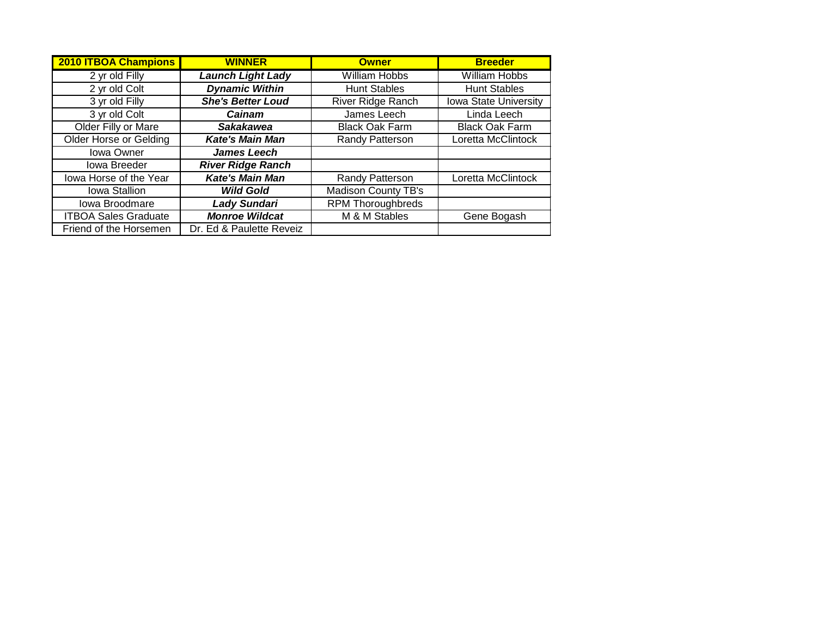| <b>2010 ITBOA Champions</b>   | <b>WINNER</b>            | <b>Owner</b>               | <b>Breeder</b>        |
|-------------------------------|--------------------------|----------------------------|-----------------------|
| 2 yr old Filly                | <b>Launch Light Lady</b> | <b>William Hobbs</b>       | <b>William Hobbs</b>  |
| 2 yr old Colt                 | <b>Dynamic Within</b>    | <b>Hunt Stables</b>        | <b>Hunt Stables</b>   |
| 3 yr old Filly                | <b>She's Better Loud</b> | River Ridge Ranch          | Iowa State University |
| 3 yr old Colt                 | Cainam                   | James Leech                | Linda Leech           |
| Older Filly or Mare           | <b>Sakakawea</b>         | <b>Black Oak Farm</b>      | <b>Black Oak Farm</b> |
| <b>Older Horse or Gelding</b> | <b>Kate's Main Man</b>   | Randy Patterson            | Loretta McClintock    |
| Iowa Owner                    | <b>James Leech</b>       |                            |                       |
| <b>Iowa Breeder</b>           | <b>River Ridge Ranch</b> |                            |                       |
| lowa Horse of the Year        | <b>Kate's Main Man</b>   | Randy Patterson            | Loretta McClintock    |
| Iowa Stallion                 | <b>Wild Gold</b>         | <b>Madison County TB's</b> |                       |
| Iowa Broodmare                | <b>Lady Sundari</b>      | <b>RPM Thoroughbreds</b>   |                       |
| <b>ITBOA Sales Graduate</b>   | <b>Monroe Wildcat</b>    | M & M Stables              | Gene Bogash           |
| Friend of the Horsemen        | Dr. Ed & Paulette Reveiz |                            |                       |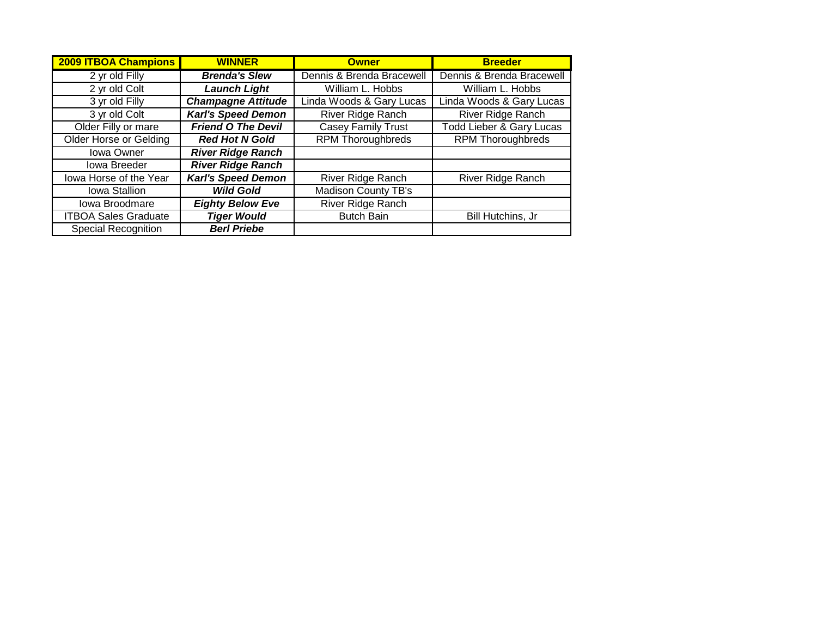| <b>2009 ITBOA Champions</b>   | <b>WINNER</b>             | <b>Owner</b>               | <b>Breeder</b>                      |
|-------------------------------|---------------------------|----------------------------|-------------------------------------|
| 2 yr old Filly                | <b>Brenda's Slew</b>      | Dennis & Brenda Bracewell  | Dennis & Brenda Bracewell           |
| 2 yr old Colt                 | <b>Launch Light</b>       | William L. Hobbs           | William L. Hobbs                    |
| 3 yr old Filly                | <b>Champagne Attitude</b> | Linda Woods & Gary Lucas   | Linda Woods & Gary Lucas            |
| 3 yr old Colt                 | <b>Karl's Speed Demon</b> | <b>River Ridge Ranch</b>   | River Ridge Ranch                   |
| Older Filly or mare           | <b>Friend O The Devil</b> | Casey Family Trust         | <b>Todd Lieber &amp; Gary Lucas</b> |
| <b>Older Horse or Gelding</b> | <b>Red Hot N Gold</b>     | <b>RPM Thoroughbreds</b>   | <b>RPM Thoroughbreds</b>            |
| Iowa Owner                    | <b>River Ridge Ranch</b>  |                            |                                     |
| <b>Iowa Breeder</b>           | <b>River Ridge Ranch</b>  |                            |                                     |
| lowa Horse of the Year        | <b>Karl's Speed Demon</b> | River Ridge Ranch          | River Ridge Ranch                   |
| Iowa Stallion                 | <b>Wild Gold</b>          | <b>Madison County TB's</b> |                                     |
| Iowa Broodmare                | <b>Eighty Below Eve</b>   | River Ridge Ranch          |                                     |
| <b>ITBOA Sales Graduate</b>   | <b>Tiger Would</b>        | <b>Butch Bain</b>          | Bill Hutchins, Jr                   |
| <b>Special Recognition</b>    | <b>Berl Priebe</b>        |                            |                                     |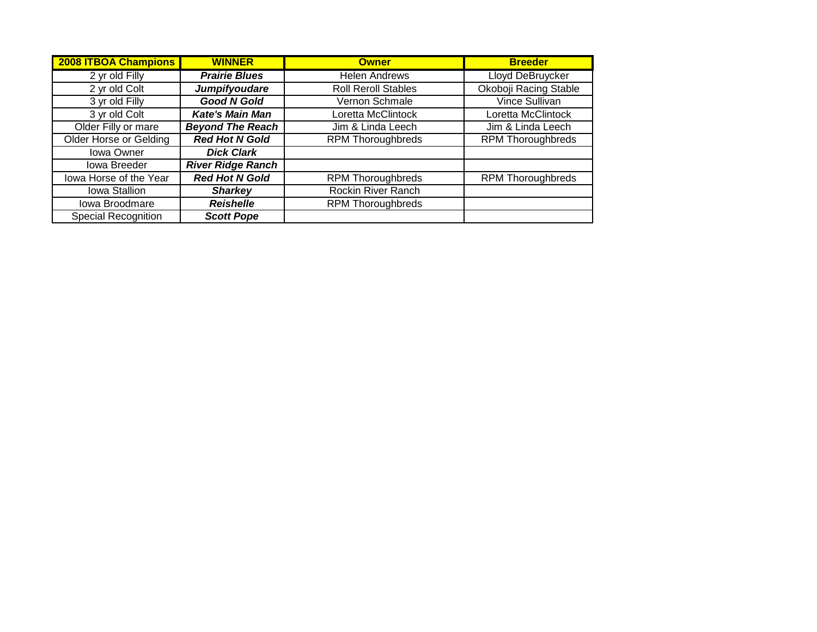| <b>2008 ITBOA Champions</b>   | <b>WINNER</b>            | <b>Owner</b>               | <b>Breeder</b>           |
|-------------------------------|--------------------------|----------------------------|--------------------------|
| 2 yr old Filly                | <b>Prairie Blues</b>     | <b>Helen Andrews</b>       | <b>Lloyd DeBruycker</b>  |
| 2 yr old Colt                 | Jumpifyoudare            | <b>Roll Reroll Stables</b> | Okoboji Racing Stable    |
| 3 yr old Filly                | <b>Good N Gold</b>       | Vernon Schmale             | <b>Vince Sullivan</b>    |
| 3 yr old Colt                 | <b>Kate's Main Man</b>   | Loretta McClintock         | Loretta McClintock       |
| Older Filly or mare           | <b>Beyond The Reach</b>  | Jim & Linda Leech          | Jim & Linda Leech        |
| <b>Older Horse or Gelding</b> | <b>Red Hot N Gold</b>    | <b>RPM Thoroughbreds</b>   | <b>RPM Thoroughbreds</b> |
| <b>Iowa Owner</b>             | <b>Dick Clark</b>        |                            |                          |
| Iowa Breeder                  | <b>River Ridge Ranch</b> |                            |                          |
| lowa Horse of the Year        | <b>Red Hot N Gold</b>    | <b>RPM Thoroughbreds</b>   | <b>RPM Thoroughbreds</b> |
| Iowa Stallion                 | <b>Sharkey</b>           | Rockin River Ranch         |                          |
| Iowa Broodmare                | <b>Reishelle</b>         | <b>RPM Thoroughbreds</b>   |                          |
| <b>Special Recognition</b>    | <b>Scott Pope</b>        |                            |                          |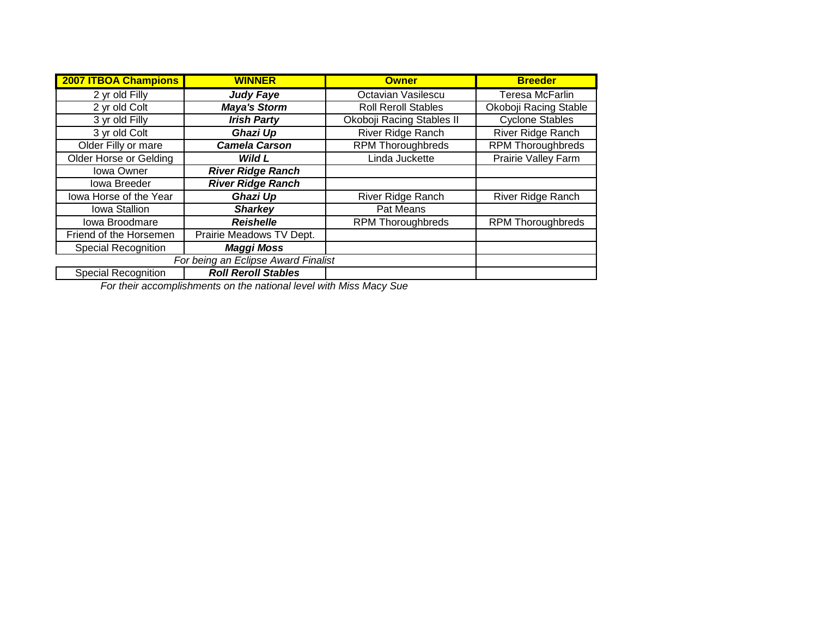| <b>2007 ITBOA Champions</b>   | <b>WINNER</b>                       | <b>Owner</b>               | <b>Breeder</b>             |
|-------------------------------|-------------------------------------|----------------------------|----------------------------|
| 2 yr old Filly                | <b>Judy Faye</b>                    | Octavian Vasilescu         | Teresa McFarlin            |
| 2 yr old Colt                 | <b>Maya's Storm</b>                 | <b>Roll Reroll Stables</b> | Okoboji Racing Stable      |
| 3 yr old Filly                | <b>Irish Party</b>                  | Okoboji Racing Stables II  | <b>Cyclone Stables</b>     |
| 3 yr old Colt                 | Ghazi Up                            | <b>River Ridge Ranch</b>   | River Ridge Ranch          |
| Older Filly or mare           | <b>Camela Carson</b>                | <b>RPM Thoroughbreds</b>   | <b>RPM Thoroughbreds</b>   |
| <b>Older Horse or Gelding</b> | Wild L                              | Linda Juckette             | <b>Prairie Valley Farm</b> |
| Iowa Owner                    | <b>River Ridge Ranch</b>            |                            |                            |
| <b>Iowa Breeder</b>           | <b>River Ridge Ranch</b>            |                            |                            |
| lowa Horse of the Year        | Ghazi Up                            | <b>River Ridge Ranch</b>   | <b>River Ridge Ranch</b>   |
| Iowa Stallion                 | <b>Sharkey</b>                      | Pat Means                  |                            |
| Iowa Broodmare                | <b>Reishelle</b>                    | <b>RPM Thoroughbreds</b>   | <b>RPM Thoroughbreds</b>   |
| Friend of the Horsemen        | Prairie Meadows TV Dept.            |                            |                            |
| <b>Special Recognition</b>    | <b>Maggi Moss</b>                   |                            |                            |
|                               | For being an Eclipse Award Finalist |                            |                            |
| Special Recognition           | <b>Roll Reroll Stables</b>          |                            |                            |

*For their accomplishments on the national level with Miss Macy Sue*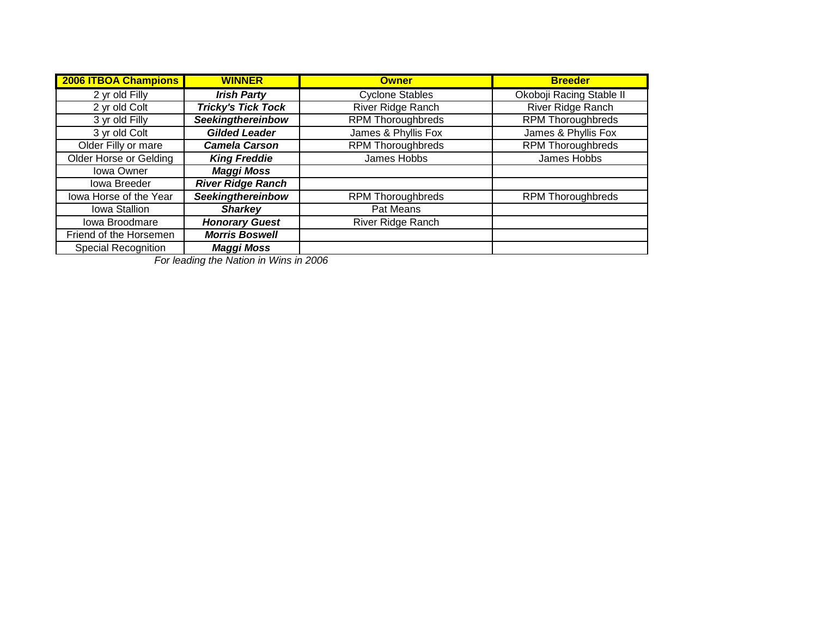| <b>2006 ITBOA Champions</b>   | <b>WINNER</b>             | <b>Owner</b>             | <b>Breeder</b>           |
|-------------------------------|---------------------------|--------------------------|--------------------------|
| 2 yr old Filly                | <b>Irish Party</b>        | <b>Cyclone Stables</b>   | Okoboji Racing Stable II |
| 2 yr old Colt                 | <b>Tricky's Tick Tock</b> | River Ridge Ranch        | River Ridge Ranch        |
| 3 yr old Filly                | <b>Seekingthereinbow</b>  | <b>RPM Thoroughbreds</b> | <b>RPM Thoroughbreds</b> |
| 3 yr old Colt                 | <b>Gilded Leader</b>      | James & Phyllis Fox      | James & Phyllis Fox      |
| Older Filly or mare           | <b>Camela Carson</b>      | <b>RPM</b> Thoroughbreds | <b>RPM</b> Thoroughbreds |
| <b>Older Horse or Gelding</b> | <b>King Freddie</b>       | James Hobbs              | James Hobbs              |
| Iowa Owner                    | <b>Maggi Moss</b>         |                          |                          |
| Iowa Breeder                  | <b>River Ridge Ranch</b>  |                          |                          |
| lowa Horse of the Year        | Seekingthereinbow         | <b>RPM Thoroughbreds</b> | <b>RPM Thoroughbreds</b> |
| Iowa Stallion                 | <b>Sharkey</b>            | Pat Means                |                          |
| Iowa Broodmare                | <b>Honorary Guest</b>     | River Ridge Ranch        |                          |
| Friend of the Horsemen        | <b>Morris Boswell</b>     |                          |                          |
| Special Recognition           | <b>Maggi Moss</b>         |                          |                          |

*For leading the Nation in Wins in 2006*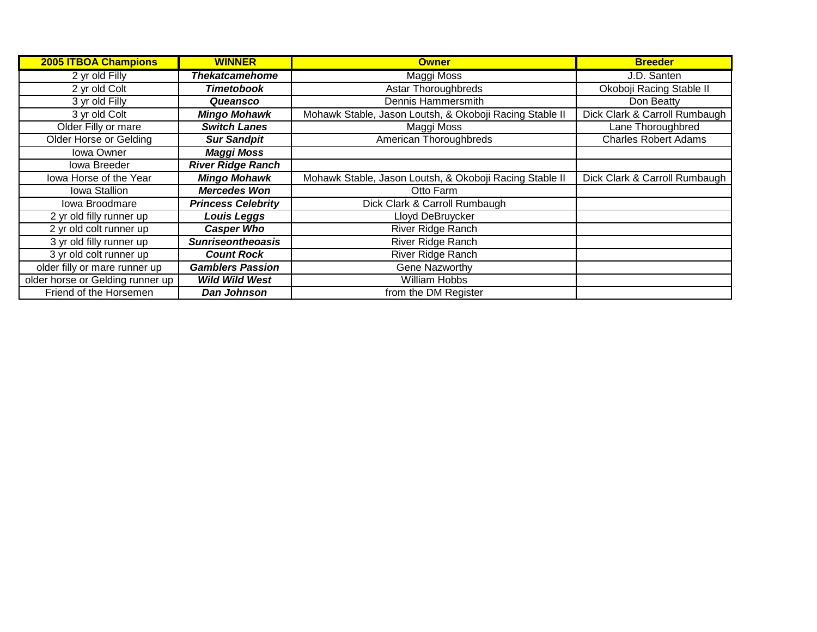| <b>2005 ITBOA Champions</b>      | <b>WINNER</b>             | <b>Owner</b>                                            | <b>Breeder</b>                |
|----------------------------------|---------------------------|---------------------------------------------------------|-------------------------------|
| 2 yr old Filly                   | <b>Thekatcamehome</b>     | <b>Maggi Moss</b>                                       | J.D. Santen                   |
| 2 yr old Colt                    | <b>Timetobook</b>         | <b>Astar Thoroughbreds</b>                              | Okoboji Racing Stable II      |
| 3 yr old Filly                   | Queansco                  | Dennis Hammersmith                                      | Don Beatty                    |
| 3 yr old Colt                    | <b>Mingo Mohawk</b>       | Mohawk Stable, Jason Loutsh, & Okoboji Racing Stable II | Dick Clark & Carroll Rumbaugh |
| Older Filly or mare              | <b>Switch Lanes</b>       | Maggi Moss                                              | Lane Thoroughbred             |
| Older Horse or Gelding           | <b>Sur Sandpit</b>        | American Thoroughbreds                                  | <b>Charles Robert Adams</b>   |
| <b>Iowa Owner</b>                | <b>Maggi Moss</b>         |                                                         |                               |
| Iowa Breeder                     | <b>River Ridge Ranch</b>  |                                                         |                               |
| lowa Horse of the Year           | <b>Mingo Mohawk</b>       | Mohawk Stable, Jason Loutsh, & Okoboji Racing Stable II | Dick Clark & Carroll Rumbaugh |
| Iowa Stallion                    | <b>Mercedes Won</b>       | Otto Farm                                               |                               |
| Iowa Broodmare                   | <b>Princess Celebrity</b> | Dick Clark & Carroll Rumbaugh                           |                               |
| 2 yr old filly runner up         | <b>Louis Leggs</b>        | Lloyd DeBruycker                                        |                               |
| 2 yr old colt runner up          | <b>Casper Who</b>         | River Ridge Ranch                                       |                               |
| 3 yr old filly runner up         | <b>Sunriseontheoasis</b>  | River Ridge Ranch                                       |                               |
| 3 yr old colt runner up          | <b>Count Rock</b>         | River Ridge Ranch                                       |                               |
| older filly or mare runner up    | <b>Gamblers Passion</b>   | Gene Nazworthy                                          |                               |
| older horse or Gelding runner up | <b>Wild Wild West</b>     | William Hobbs                                           |                               |
| Friend of the Horsemen           | Dan Johnson               | from the DM Register                                    |                               |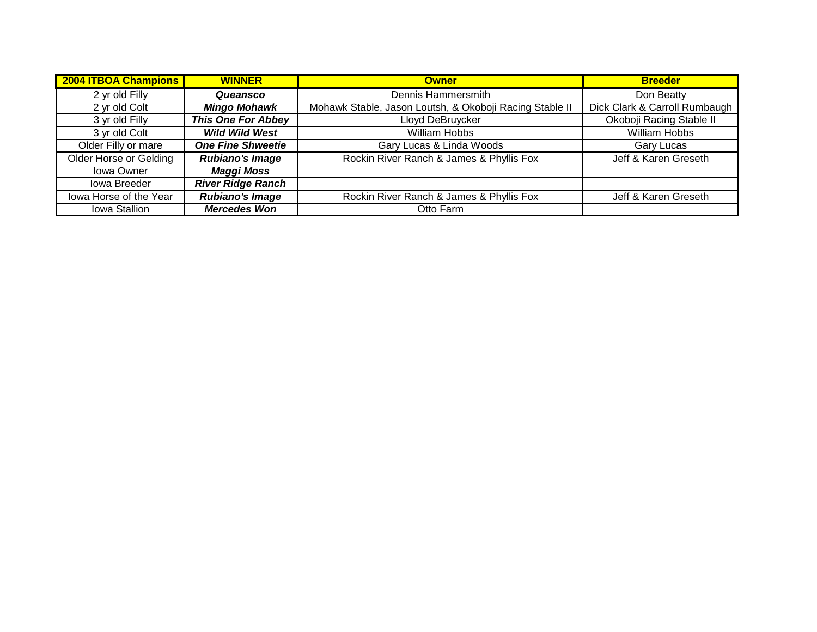| <b>2004 ITBOA Champions</b> | <b>WINNER</b>             | <b>Owner</b>                                            | <b>Breeder</b>                |
|-----------------------------|---------------------------|---------------------------------------------------------|-------------------------------|
| 2 yr old Filly              | Queansco                  | Dennis Hammersmith                                      | Don Beatty                    |
| 2 yr old Colt               | <b>Mingo Mohawk</b>       | Mohawk Stable, Jason Loutsh, & Okoboji Racing Stable II | Dick Clark & Carroll Rumbaugh |
| 3 yr old Filly              | <b>This One For Abbey</b> | Lloyd DeBruycker                                        | Okoboji Racing Stable II      |
| 3 yr old Colt               | <b>Wild Wild West</b>     | William Hobbs                                           | William Hobbs                 |
| Older Filly or mare         | <b>One Fine Shweetie</b>  | Gary Lucas & Linda Woods                                | Gary Lucas                    |
| Older Horse or Gelding      | <b>Rubiano's Image</b>    | Rockin River Ranch & James & Phyllis Fox                | Jeff & Karen Greseth          |
| Iowa Owner                  | <b>Maggi Moss</b>         |                                                         |                               |
| Iowa Breeder                | <b>River Ridge Ranch</b>  |                                                         |                               |
| lowa Horse of the Year      | <b>Rubiano's Image</b>    | Rockin River Ranch & James & Phyllis Fox                | Jeff & Karen Greseth          |
| Iowa Stallion               | <b>Mercedes Won</b>       | Otto Farm                                               |                               |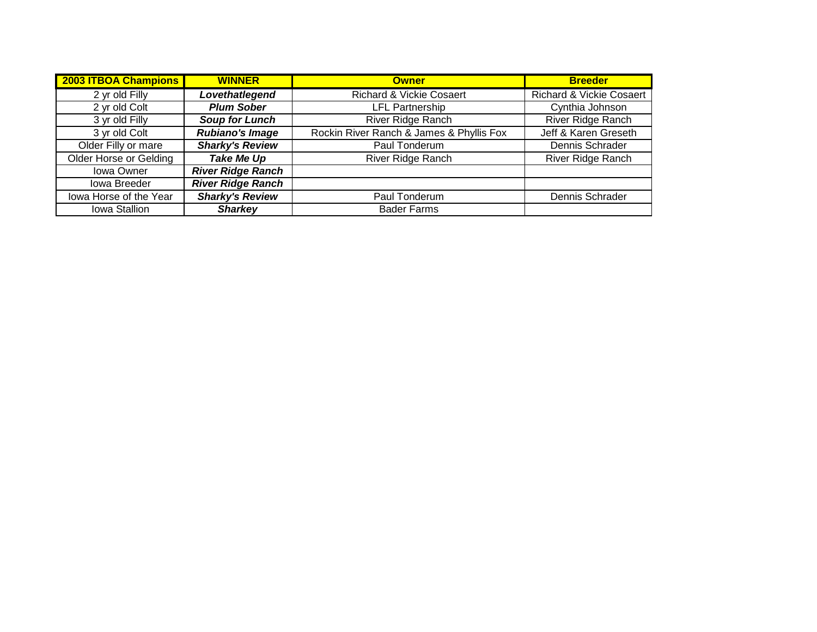| 2003 ITBOA Champions          | <b>WINNER</b>            | <b>Owner</b>                             | <b>Breeder</b>                      |
|-------------------------------|--------------------------|------------------------------------------|-------------------------------------|
| 2 yr old Filly                | Lovethatlegend           | <b>Richard &amp; Vickie Cosaert</b>      | <b>Richard &amp; Vickie Cosaert</b> |
| 2 yr old Colt                 | <b>Plum Sober</b>        | <b>LFL Partnership</b>                   | Cynthia Johnson                     |
| 3 yr old Filly                | <b>Soup for Lunch</b>    | <b>River Ridge Ranch</b>                 | <b>River Ridge Ranch</b>            |
| 3 yr old Colt                 | <b>Rubiano's Image</b>   | Rockin River Ranch & James & Phyllis Fox | Jeff & Karen Greseth                |
| Older Filly or mare           | <b>Sharky's Review</b>   | Paul Tonderum                            | Dennis Schrader                     |
| <b>Older Horse or Gelding</b> | <b>Take Me Up</b>        | River Ridge Ranch                        | <b>River Ridge Ranch</b>            |
| Iowa Owner                    | <b>River Ridge Ranch</b> |                                          |                                     |
| Iowa Breeder                  | <b>River Ridge Ranch</b> |                                          |                                     |
| lowa Horse of the Year        | <b>Sharky's Review</b>   | Paul Tonderum                            | Dennis Schrader                     |
| Iowa Stallion                 | <b>Sharkey</b>           | <b>Bader Farms</b>                       |                                     |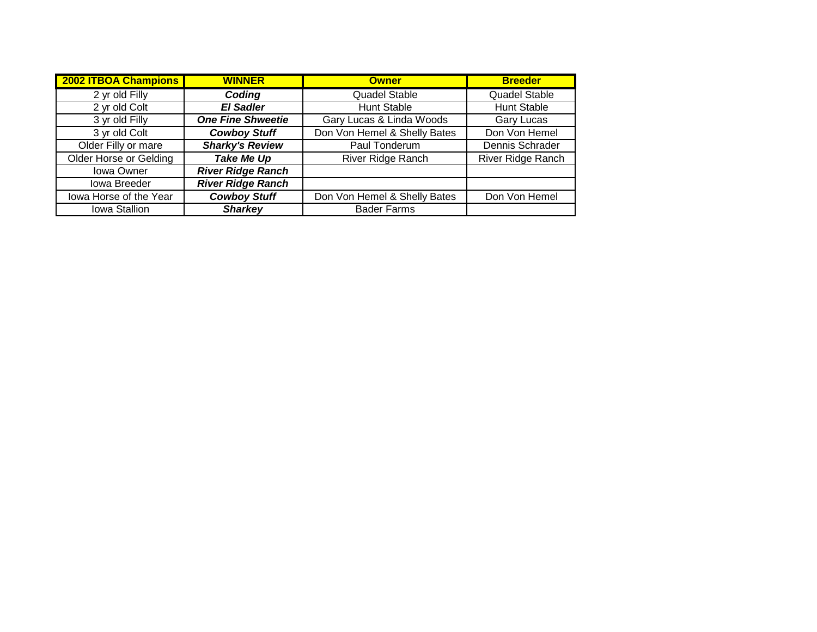| <b>2002 ITBOA Champions</b>   | <b>WINNER</b>            | <b>Owner</b>                 | <b>Breeder</b>           |
|-------------------------------|--------------------------|------------------------------|--------------------------|
| 2 yr old Filly                | Coding                   | Quadel Stable                | <b>Quadel Stable</b>     |
| 2 yr old Colt                 | <b>El Sadler</b>         | <b>Hunt Stable</b>           | <b>Hunt Stable</b>       |
| 3 yr old Filly                | <b>One Fine Shweetie</b> | Gary Lucas & Linda Woods     | <b>Gary Lucas</b>        |
| 3 yr old Colt                 | <b>Cowboy Stuff</b>      | Don Von Hemel & Shelly Bates | Don Von Hemel            |
| Older Filly or mare           | <b>Sharky's Review</b>   | Paul Tonderum                | Dennis Schrader          |
| <b>Older Horse or Gelding</b> | <b>Take Me Up</b>        | <b>River Ridge Ranch</b>     | <b>River Ridge Ranch</b> |
| <b>Iowa Owner</b>             | <b>River Ridge Ranch</b> |                              |                          |
| <b>Iowa Breeder</b>           | <b>River Ridge Ranch</b> |                              |                          |
| lowa Horse of the Year        | <b>Cowboy Stuff</b>      | Don Von Hemel & Shelly Bates | Don Von Hemel            |
| Iowa Stallion                 | <b>Sharkey</b>           | <b>Bader Farms</b>           |                          |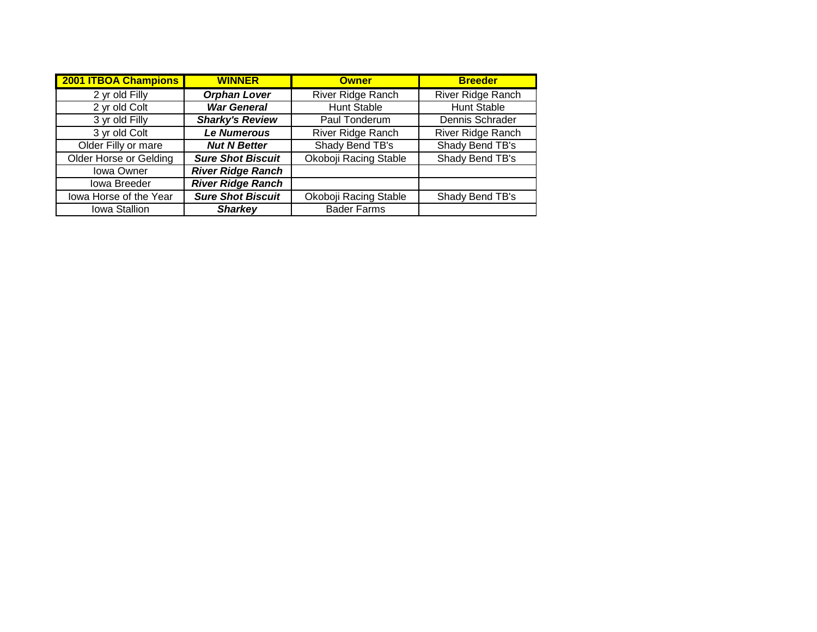| <b>2001 ITBOA Champions</b>   | <b>WINNER</b>            | <b>Owner</b>             | <b>Breeder</b>           |
|-------------------------------|--------------------------|--------------------------|--------------------------|
| 2 yr old Filly                | <b>Orphan Lover</b>      | <b>River Ridge Ranch</b> | <b>River Ridge Ranch</b> |
| 2 yr old Colt                 | <b>War General</b>       | <b>Hunt Stable</b>       | <b>Hunt Stable</b>       |
| 3 yr old Filly                | <b>Sharky's Review</b>   | Paul Tonderum            | Dennis Schrader          |
| 3 yr old Colt                 | <b>Le Numerous</b>       | River Ridge Ranch        | River Ridge Ranch        |
| Older Filly or mare           | <b>Nut N Better</b>      | Shady Bend TB's          | Shady Bend TB's          |
| <b>Older Horse or Gelding</b> | <b>Sure Shot Biscuit</b> | Okoboji Racing Stable    | Shady Bend TB's          |
| <b>Iowa Owner</b>             | <b>River Ridge Ranch</b> |                          |                          |
| Iowa Breeder                  | <b>River Ridge Ranch</b> |                          |                          |
| lowa Horse of the Year        | <b>Sure Shot Biscuit</b> | Okoboji Racing Stable    | Shady Bend TB's          |
| Iowa Stallion                 | <b>Sharkey</b>           | <b>Bader Farms</b>       |                          |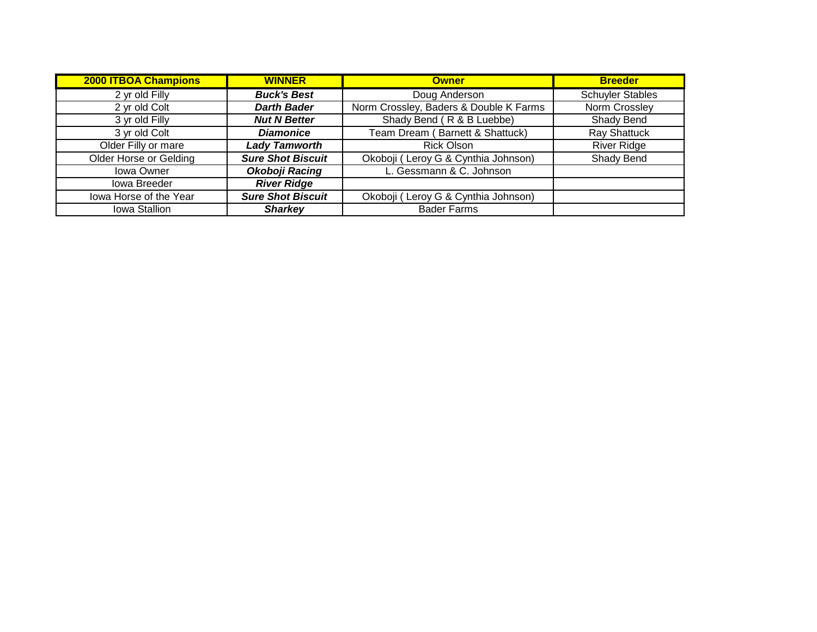| <b>2000 ITBOA Champions</b> | <b>WINNER</b>            | <b>Owner</b>                           | <b>Breeder</b>          |
|-----------------------------|--------------------------|----------------------------------------|-------------------------|
| 2 yr old Filly              | <b>Buck's Best</b>       | Doug Anderson                          | <b>Schuyler Stables</b> |
| 2 yr old Colt               | <b>Darth Bader</b>       | Norm Crossley, Baders & Double K Farms | Norm Crossley           |
| $\overline{3}$ yr old Filly | <b>Nut N Better</b>      | Shady Bend (R & B Luebbe)              | Shady Bend              |
| 3 yr old Colt               | <b>Diamonice</b>         | Team Dream (Barnett & Shattuck)        | <b>Ray Shattuck</b>     |
| Older Filly or mare         | <b>Lady Tamworth</b>     | <b>Rick Olson</b>                      | <b>River Ridge</b>      |
| Older Horse or Gelding      | <b>Sure Shot Biscuit</b> | Okoboji (Leroy G & Cynthia Johnson)    | Shady Bend              |
| Iowa Owner                  | Okoboji Racing           | L. Gessmann & C. Johnson               |                         |
| Iowa Breeder                | <b>River Ridge</b>       |                                        |                         |
| lowa Horse of the Year      | <b>Sure Shot Biscuit</b> | Okoboji (Leroy G & Cynthia Johnson)    |                         |
| Iowa Stallion               | <b>Sharkey</b>           | <b>Bader Farms</b>                     |                         |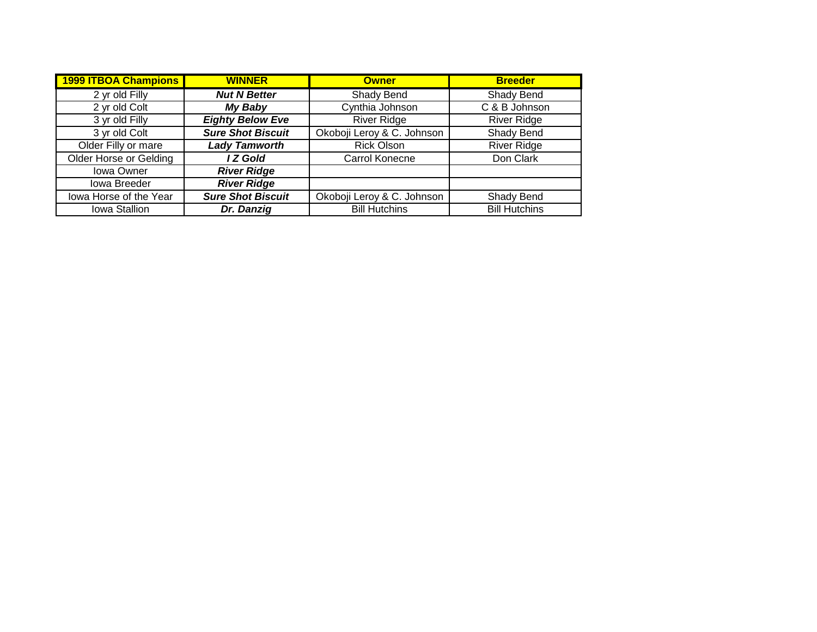| <b>1999 ITBOA Champions</b> | <b>WINNER</b>            | <b>Owner</b>               | <b>Breeder</b>       |
|-----------------------------|--------------------------|----------------------------|----------------------|
| 2 yr old Filly              | <b>Nut N Better</b>      | Shady Bend                 | <b>Shady Bend</b>    |
| 2 yr old Colt               | My Baby                  | Cynthia Johnson            | C & B Johnson        |
| 3 yr old Filly              | <b>Eighty Below Eve</b>  | <b>River Ridge</b>         | <b>River Ridge</b>   |
| 3 yr old Colt               | <b>Sure Shot Biscuit</b> | Okoboji Leroy & C. Johnson | Shady Bend           |
| Older Filly or mare         | <b>Lady Tamworth</b>     | <b>Rick Olson</b>          | <b>River Ridge</b>   |
| Older Horse or Gelding      | I Z Gold                 | Carrol Konecne             | Don Clark            |
| <b>Iowa Owner</b>           | <b>River Ridge</b>       |                            |                      |
| Iowa Breeder                | <b>River Ridge</b>       |                            |                      |
| lowa Horse of the Year      | <b>Sure Shot Biscuit</b> | Okoboji Leroy & C. Johnson | Shady Bend           |
| Iowa Stallion               | Dr. Danzig               | <b>Bill Hutchins</b>       | <b>Bill Hutchins</b> |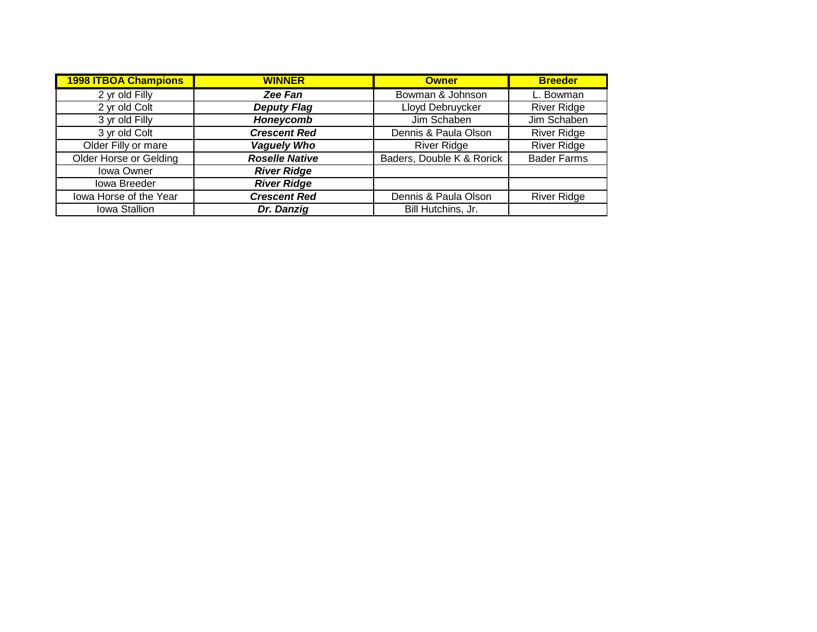| <b>1998 ITBOA Champions</b> | <b>WINNER</b>         | <b>Owner</b>              | <b>Breeder</b>     |
|-----------------------------|-----------------------|---------------------------|--------------------|
| 2 yr old Filly              | Zee Fan               | Bowman & Johnson          | L. Bowman          |
| 2 yr old Colt               | <b>Deputy Flag</b>    | Lloyd Debruycker          | <b>River Ridge</b> |
| 3 yr old Filly              | Honeycomb             | Jim Schaben               | Jim Schaben        |
| 3 yr old Colt               | <b>Crescent Red</b>   | Dennis & Paula Olson      | <b>River Ridge</b> |
| Older Filly or mare         | <b>Vaguely Who</b>    | <b>River Ridge</b>        | <b>River Ridge</b> |
| Older Horse or Gelding      | <b>Roselle Native</b> | Baders, Double K & Rorick | <b>Bader Farms</b> |
| <b>Iowa Owner</b>           | <b>River Ridge</b>    |                           |                    |
| Iowa Breeder                | <b>River Ridge</b>    |                           |                    |
| lowa Horse of the Year      | <b>Crescent Red</b>   | Dennis & Paula Olson      | <b>River Ridge</b> |
| Iowa Stallion               | Dr. Danzig            | Bill Hutchins, Jr.        |                    |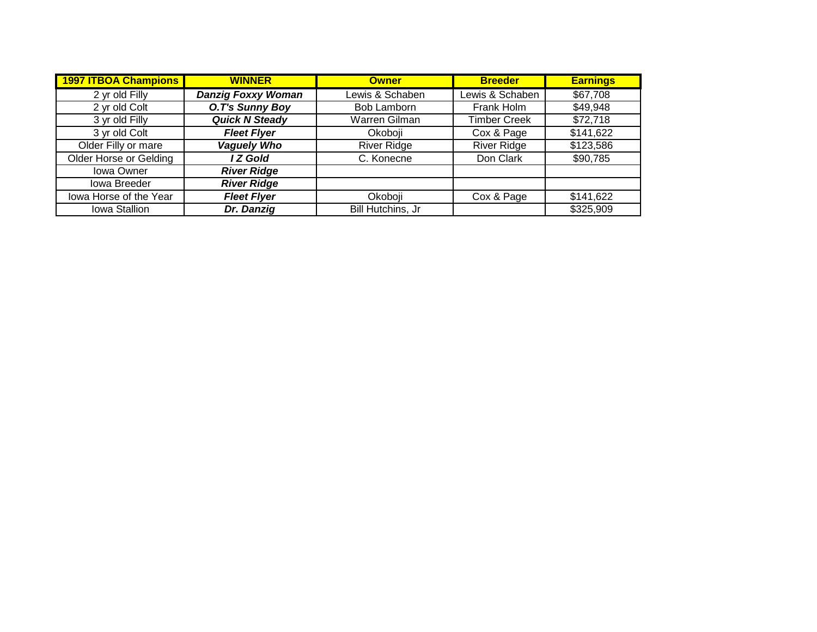| <b>1997 ITBOA Champions</b>   | <b>WINNER</b>             | <b>Owner</b>       | <b>Breeder</b>      | <b>Earnings</b> |
|-------------------------------|---------------------------|--------------------|---------------------|-----------------|
| 2 yr old Filly                | <b>Danzig Foxxy Woman</b> | Lewis & Schaben    | Lewis & Schaben     | \$67,708        |
| 2 yr old Colt                 | O.T's Sunny Boy           | Bob Lamborn        | Frank Holm          | \$49,948        |
| 3 yr old Filly                | <b>Quick N Steady</b>     | Warren Gilman      | <b>Timber Creek</b> | \$72,718        |
| 3 yr old Colt                 | <b>Fleet Flyer</b>        | Okoboji            | Cox & Page          | \$141,622       |
| Older Filly or mare           | <b>Vaguely Who</b>        | <b>River Ridge</b> | <b>River Ridge</b>  | \$123,586       |
| <b>Older Horse or Gelding</b> | I Z Gold                  | C. Konecne         | Don Clark           | \$90,785        |
| Iowa Owner                    | <b>River Ridge</b>        |                    |                     |                 |
| Iowa Breeder                  | <b>River Ridge</b>        |                    |                     |                 |
| lowa Horse of the Year        | <b>Fleet Flyer</b>        | Okoboji            | Cox & Page          | \$141,622       |
| Iowa Stallion                 | Dr. Danzig                | Bill Hutchins, Jr  |                     | \$325,909       |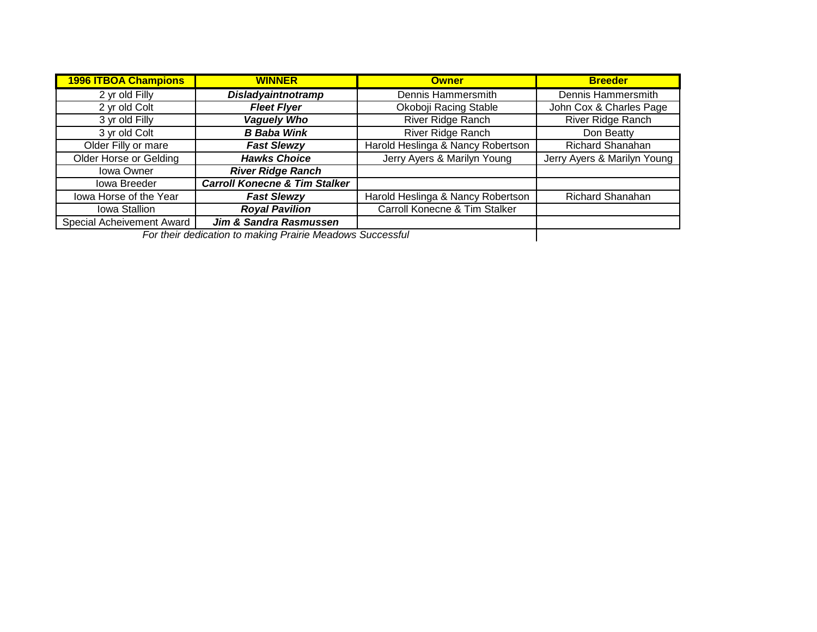| <b>1996 ITBOA Champions</b>   | <b>WINNER</b>                                             | <b>Owner</b>                      | <b>Breeder</b>              |
|-------------------------------|-----------------------------------------------------------|-----------------------------------|-----------------------------|
| 2 yr old Filly                | <b>Disladyaintnotramp</b>                                 | Dennis Hammersmith                | Dennis Hammersmith          |
| 2 yr old Colt                 | <b>Fleet Flyer</b>                                        | Okoboji Racing Stable             | John Cox & Charles Page     |
| 3 yr old Filly                | <b>Vaguely Who</b>                                        | <b>River Ridge Ranch</b>          | River Ridge Ranch           |
| 3 yr old Colt                 | <b>B</b> Baba Wink                                        | River Ridge Ranch                 | Don Beatty                  |
| Older Filly or mare           | <b>Fast Slewzy</b>                                        | Harold Heslinga & Nancy Robertson | <b>Richard Shanahan</b>     |
| <b>Older Horse or Gelding</b> | <b>Hawks Choice</b>                                       | Jerry Ayers & Marilyn Young       | Jerry Ayers & Marilyn Young |
| <b>Iowa Owner</b>             | <b>River Ridge Ranch</b>                                  |                                   |                             |
| Iowa Breeder                  | <b>Carroll Konecne &amp; Tim Stalker</b>                  |                                   |                             |
| lowa Horse of the Year        | <b>Fast Slewzy</b>                                        | Harold Heslinga & Nancy Robertson | Richard Shanahan            |
| Iowa Stallion                 | <b>Royal Pavilion</b>                                     | Carroll Konecne & Tim Stalker     |                             |
| Special Acheivement Award     | Jim & Sandra Rasmussen                                    |                                   |                             |
|                               | For their dedication to making Prairie Meadows Successful |                                   |                             |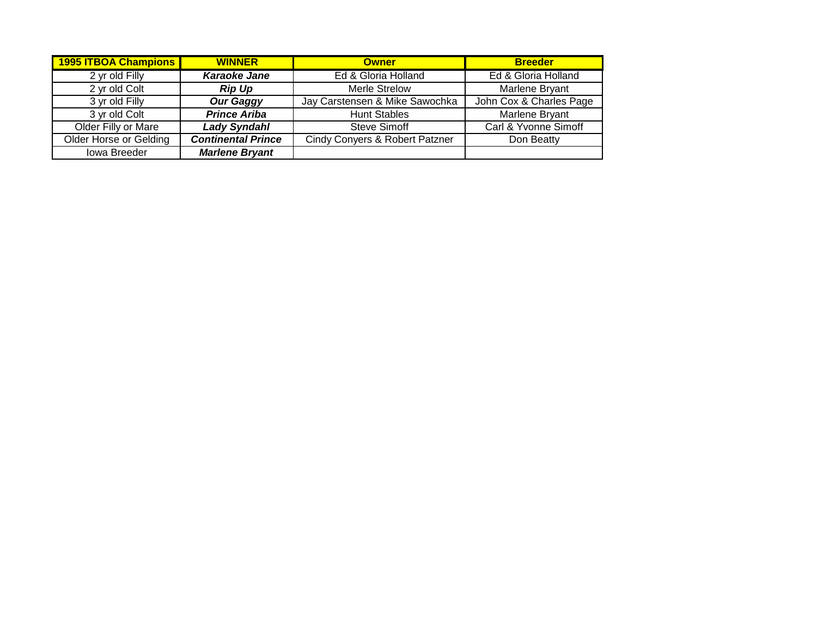| 1995 ITBOA Champions   | <b>WINNER</b>             | <b>Owner</b>                   | <b>Breeder</b>          |
|------------------------|---------------------------|--------------------------------|-------------------------|
| 2 yr old Filly         | <b>Karaoke Jane</b>       | Ed & Gloria Holland            | Ed & Gloria Holland     |
| 2 yr old Colt          | <b>Rip Up</b>             | Merle Strelow                  | Marlene Bryant          |
| 3 yr old Filly         | <b>Our Gaggy</b>          | Jay Carstensen & Mike Sawochka | John Cox & Charles Page |
| 3 yr old Colt          | <b>Prince Ariba</b>       | <b>Hunt Stables</b>            | Marlene Bryant          |
| Older Filly or Mare    | <b>Lady Syndahl</b>       | Steve Simoff                   | Carl & Yvonne Simoff    |
| Older Horse or Gelding | <b>Continental Prince</b> | Cindy Conyers & Robert Patzner | Don Beatty              |
| Iowa Breeder           | <b>Marlene Bryant</b>     |                                |                         |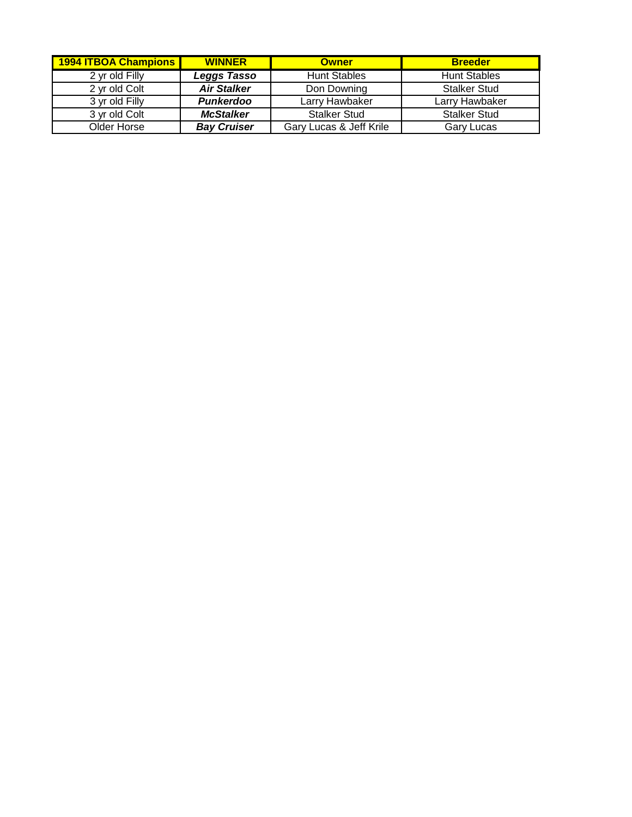| 1994 ITBOA Champions | <b>WINNER</b>      | <b>Owner</b>            | <b>Breeder</b>      |
|----------------------|--------------------|-------------------------|---------------------|
| 2 yr old Filly       | <b>Leggs Tasso</b> | <b>Hunt Stables</b>     | <b>Hunt Stables</b> |
| 2 yr old Colt        | <b>Air Stalker</b> | Don Downing             | <b>Stalker Stud</b> |
| 3 yr old Filly       | <b>Punkerdoo</b>   | Larry Hawbaker          | Larry Hawbaker      |
| 3 vr old Colt        | <b>McStalker</b>   | <b>Stalker Stud</b>     | <b>Stalker Stud</b> |
| Older Horse          | <b>Bay Cruiser</b> | Gary Lucas & Jeff Krile | <b>Gary Lucas</b>   |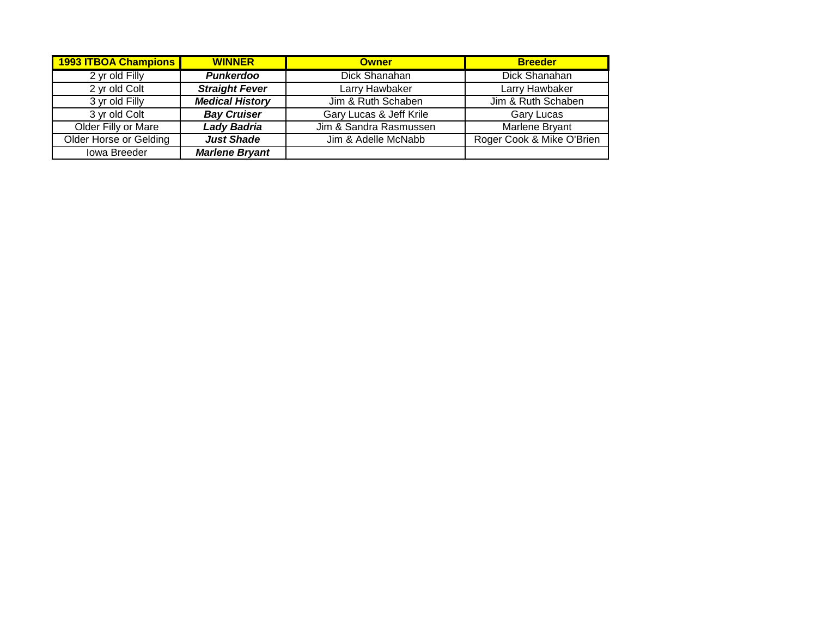| <b>1993 ITBOA Champions</b> | <b>WINNER</b>          | <b>Owner</b>            | <b>Breeder</b>            |
|-----------------------------|------------------------|-------------------------|---------------------------|
| 2 yr old Filly              | <b>Punkerdoo</b>       | Dick Shanahan           | Dick Shanahan             |
| 2 yr old Colt               | <b>Straight Fever</b>  | Larry Hawbaker          | Larry Hawbaker            |
| 3 yr old Filly              | <b>Medical History</b> | Jim & Ruth Schaben      | Jim & Ruth Schaben        |
| 3 yr old Colt               | <b>Bay Cruiser</b>     | Gary Lucas & Jeff Krile | Gary Lucas                |
| Older Filly or Mare         | <b>Lady Badria</b>     | Jim & Sandra Rasmussen  | Marlene Bryant            |
| Older Horse or Gelding      | <b>Just Shade</b>      | Jim & Adelle McNabb     | Roger Cook & Mike O'Brien |
| Iowa Breeder                | <b>Marlene Bryant</b>  |                         |                           |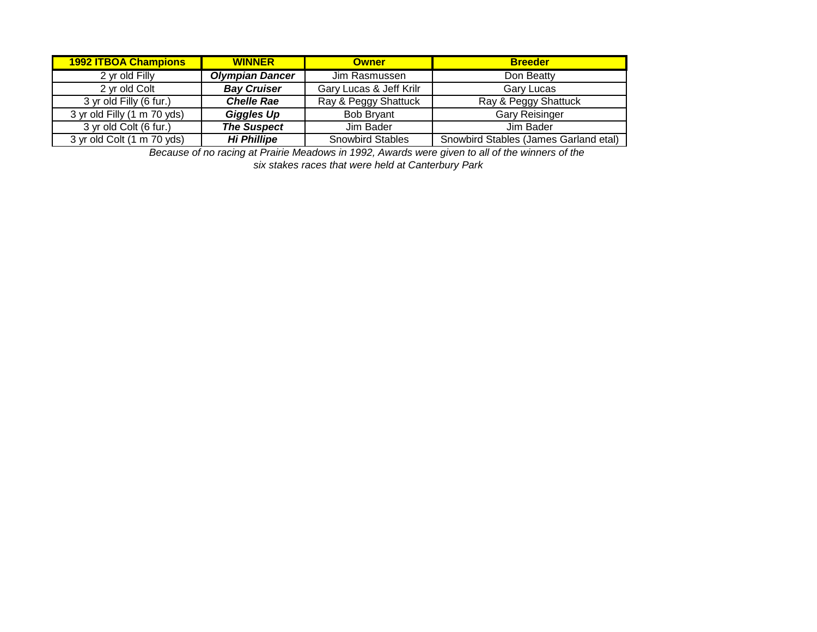| <b>1992 ITBOA Champions</b> | <b>WINNER</b>          | <b>Owner</b>            | <b>Breeder</b>                        |
|-----------------------------|------------------------|-------------------------|---------------------------------------|
| 2 yr old Filly              | <b>Olympian Dancer</b> | Jim Rasmussen           | Don Beatty                            |
| 2 vr old Colt               | <b>Bay Cruiser</b>     | Gary Lucas & Jeff Krilr | <b>Gary Lucas</b>                     |
| 3 yr old Filly (6 fur.)     | <b>Chelle Rae</b>      | Ray & Peggy Shattuck    | Ray & Peggy Shattuck                  |
| 3 yr old Filly (1 m 70 yds) | <b>Giggles Up</b>      | <b>Bob Brvant</b>       | <b>Gary Reisinger</b>                 |
| 3 yr old Colt (6 fur.)      | <b>The Suspect</b>     | Jim Bader               | Jim Bader                             |
| 3 yr old Colt (1 m 70 yds)  | <b>Hi Phillipe</b>     | <b>Snowbird Stables</b> | Snowbird Stables (James Garland etal) |

*Because of no racing at Prairie Meadows in 1992, Awards were given to all of the winners of the* 

*six stakes races that were held at Canterbury Park*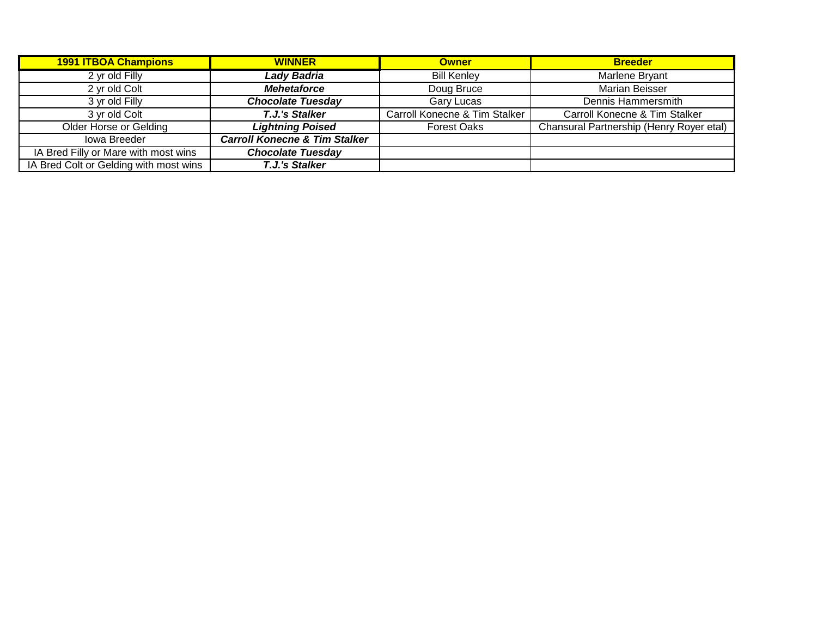| <b>1991 ITBOA Champions</b>            | <b>WINNER</b>                            | <b>Owner</b>                  | <b>Breeder</b>                           |
|----------------------------------------|------------------------------------------|-------------------------------|------------------------------------------|
| 2 yr old Filly                         | <b>Lady Badria</b>                       | <b>Bill Kenley</b>            | Marlene Bryant                           |
| 2 yr old Colt                          | <b>Mehetaforce</b>                       | Doug Bruce                    | <b>Marian Beisser</b>                    |
| 3 yr old Filly                         | <b>Chocolate Tuesday</b>                 | Gary Lucas                    | Dennis Hammersmith                       |
| 3 yr old Colt                          | T.J.'s Stalker                           | Carroll Konecne & Tim Stalker | Carroll Konecne & Tim Stalker            |
| <b>Older Horse or Gelding</b>          | <b>Lightning Poised</b>                  | <b>Forest Oaks</b>            | Chansural Partnership (Henry Royer etal) |
| lowa Breeder                           | <b>Carroll Konecne &amp; Tim Stalker</b> |                               |                                          |
| IA Bred Filly or Mare with most wins   | <b>Chocolate Tuesday</b>                 |                               |                                          |
| IA Bred Colt or Gelding with most wins | T.J.'s Stalker                           |                               |                                          |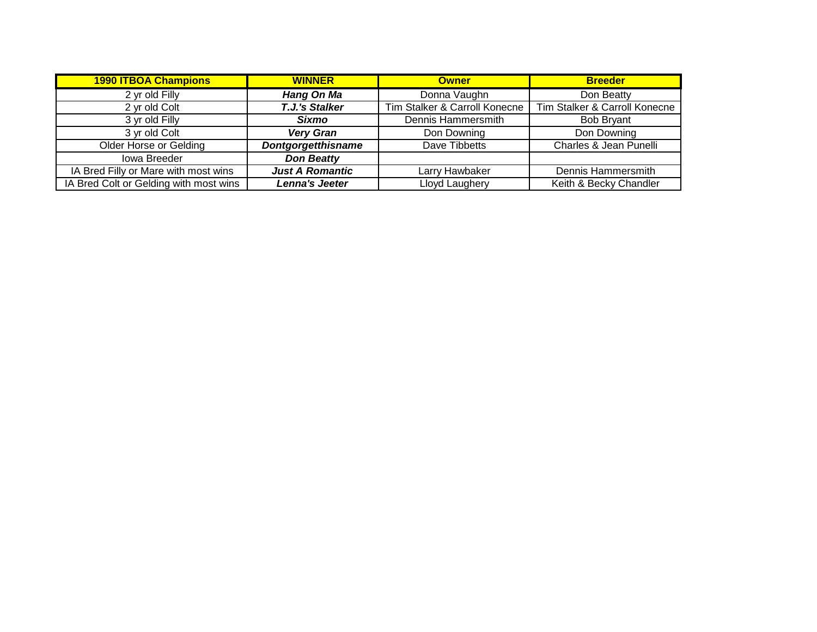| <b>1990 ITBOA Champions</b>            | <b>WINNER</b>             | <b>Owner</b>                  | <b>Breeder</b>                |
|----------------------------------------|---------------------------|-------------------------------|-------------------------------|
| 2 yr old Filly                         | <b>Hang On Ma</b>         | Donna Vaughn                  | Don Beatty                    |
| 2 yr old Colt                          | <b>T.J.'s Stalker</b>     | Tim Stalker & Carroll Konecne | Tim Stalker & Carroll Konecne |
| 3 yr old Filly                         | <b>Sixmo</b>              | Dennis Hammersmith            | <b>Bob Bryant</b>             |
| 3 yr old Colt                          | <b>Very Gran</b>          | Don Downing                   | Don Downing                   |
| <b>Older Horse or Gelding</b>          | <b>Dontgorgetthisname</b> | Dave Tibbetts                 | Charles & Jean Punelli        |
| <b>lowa Breeder</b>                    | <b>Don Beatty</b>         |                               |                               |
| IA Bred Filly or Mare with most wins   | <b>Just A Romantic</b>    | Larry Hawbaker                | Dennis Hammersmith            |
| IA Bred Colt or Gelding with most wins | Lenna's Jeeter            | Lloyd Laughery                | Keith & Becky Chandler        |